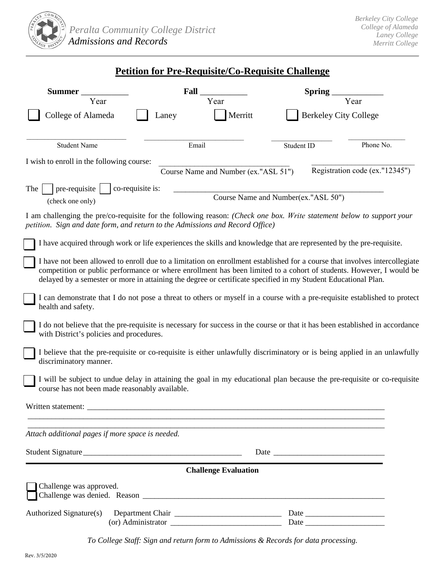

## **Petition for Pre-Requisite/Co-Requisite Challenge**

| <b>Summer</b>                                                                                                                                                                                                                                                   | Fall                                 | <b>Spring</b>                                                                                                                                                                                                                                                                                                                                                       |
|-----------------------------------------------------------------------------------------------------------------------------------------------------------------------------------------------------------------------------------------------------------------|--------------------------------------|---------------------------------------------------------------------------------------------------------------------------------------------------------------------------------------------------------------------------------------------------------------------------------------------------------------------------------------------------------------------|
| Year                                                                                                                                                                                                                                                            | Year                                 | Year                                                                                                                                                                                                                                                                                                                                                                |
| College of Alameda                                                                                                                                                                                                                                              | Merritt<br>Laney                     | <b>Berkeley City College</b>                                                                                                                                                                                                                                                                                                                                        |
| <b>Student Name</b>                                                                                                                                                                                                                                             | Email                                | Phone No.<br>Student ID                                                                                                                                                                                                                                                                                                                                             |
| I wish to enroll in the following course:                                                                                                                                                                                                                       |                                      |                                                                                                                                                                                                                                                                                                                                                                     |
|                                                                                                                                                                                                                                                                 | Course Name and Number (ex."ASL 51") | Registration code (ex."12345")                                                                                                                                                                                                                                                                                                                                      |
| The<br>co-requisite is:<br>pre-requisite<br>(check one only)                                                                                                                                                                                                    |                                      | Course Name and Number(ex."ASL 50")                                                                                                                                                                                                                                                                                                                                 |
| petition. Sign and date form, and return to the Admissions and Record Office)                                                                                                                                                                                   |                                      | I am challenging the pre/co-requisite for the following reason: (Check one box. Write statement below to support your                                                                                                                                                                                                                                               |
|                                                                                                                                                                                                                                                                 |                                      | I have acquired through work or life experiences the skills and knowledge that are represented by the pre-requisite.                                                                                                                                                                                                                                                |
|                                                                                                                                                                                                                                                                 |                                      | I have not been allowed to enroll due to a limitation on enrollment established for a course that involves intercollegiate<br>competition or public performance or where enrollment has been limited to a cohort of students. However, I would be<br>delayed by a semester or more in attaining the degree or certificate specified in my Student Educational Plan. |
| health and safety.                                                                                                                                                                                                                                              |                                      | I can demonstrate that I do not pose a threat to others or myself in a course with a pre-requisite established to protect                                                                                                                                                                                                                                           |
| with District's policies and procedures.                                                                                                                                                                                                                        |                                      | I do not believe that the pre-requisite is necessary for success in the course or that it has been established in accordance                                                                                                                                                                                                                                        |
| discriminatory manner.                                                                                                                                                                                                                                          |                                      | I believe that the pre-requisite or co-requisite is either unlawfully discriminatory or is being applied in an unlawfully                                                                                                                                                                                                                                           |
| course has not been made reasonably available.                                                                                                                                                                                                                  |                                      | I will be subject to undue delay in attaining the goal in my educational plan because the pre-requisite or co-requisite                                                                                                                                                                                                                                             |
| Written statement:                                                                                                                                                                                                                                              |                                      |                                                                                                                                                                                                                                                                                                                                                                     |
| Attach additional pages if more space is needed.                                                                                                                                                                                                                |                                      |                                                                                                                                                                                                                                                                                                                                                                     |
| Student Signature                                                                                                                                                                                                                                               |                                      |                                                                                                                                                                                                                                                                                                                                                                     |
|                                                                                                                                                                                                                                                                 | <b>Challenge Evaluation</b>          |                                                                                                                                                                                                                                                                                                                                                                     |
| Challenge was approved.<br>Challenge was denied. Reason <b>the contract of the contract of the contract of the contract of the contract of the contract of the contract of the contract of the contract of the contract of the contract of the contract of </b> |                                      |                                                                                                                                                                                                                                                                                                                                                                     |
| Authorized Signature(s)                                                                                                                                                                                                                                         |                                      |                                                                                                                                                                                                                                                                                                                                                                     |

*To College Staff: Sign and return form to Admissions & Records for data processing.*